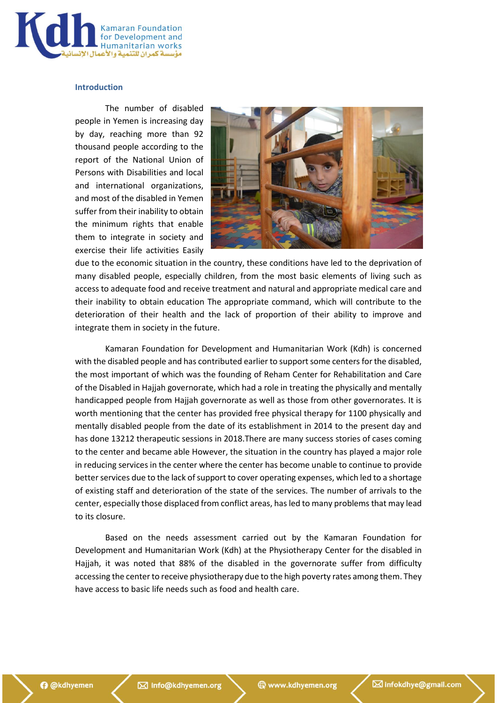

# **Introduction**

The number of disabled people in Yemen is increasing day by day, reaching more than 92 thousand people according to the report of the National Union of Persons with Disabilities and local and international organizations, and most of the disabled in Yemen suffer from their inability to obtain the minimum rights that enable them to integrate in society and exercise their life activities Easily



due to the economic situation in the country, these conditions have led to the deprivation of many disabled people, especially children, from the most basic elements of living such as access to adequate food and receive treatment and natural and appropriate medical care and their inability to obtain education The appropriate command, which will contribute to the deterioration of their health and the lack of proportion of their ability to improve and integrate them in society in the future.

Kamaran Foundation for Development and Humanitarian Work (Kdh) is concerned with the disabled people and has contributed earlier to support some centers for the disabled, the most important of which was the founding of Reham Center for Rehabilitation and Care of the Disabled in Hajjah governorate, which had a role in treating the physically and mentally handicapped people from Hajjah governorate as well as those from other governorates. It is worth mentioning that the center has provided free physical therapy for 1100 physically and mentally disabled people from the date of its establishment in 2014 to the present day and has done 13212 therapeutic sessions in 2018.There are many success stories of cases coming to the center and became able However, the situation in the country has played a major role in reducing services in the center where the center has become unable to continue to provide better services due to the lack of support to cover operating expenses, which led to a shortage of existing staff and deterioration of the state of the services. The number of arrivals to the center, especially those displaced from conflict areas, has led to many problems that may lead to its closure.

Based on the needs assessment carried out by the Kamaran Foundation for Development and Humanitarian Work (Kdh) at the Physiotherapy Center for the disabled in Hajjah, it was noted that 88% of the disabled in the governorate suffer from difficulty accessing the center to receive physiotherapy due to the high poverty rates among them. They have access to basic life needs such as food and health care.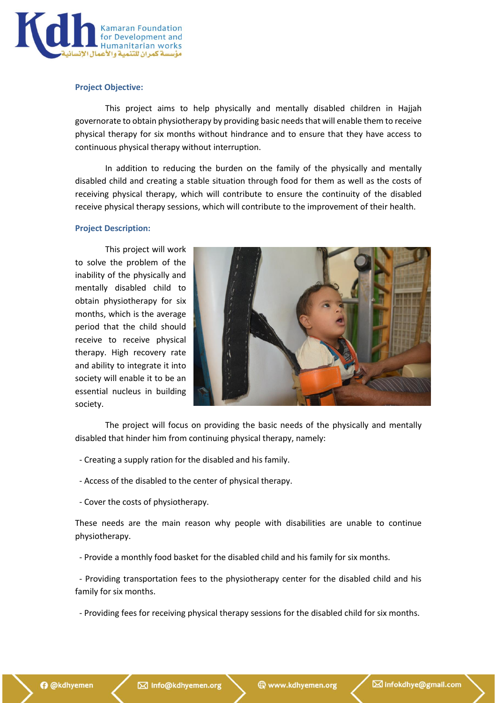

# **Project Objective:**

This project aims to help physically and mentally disabled children in Hajjah governorate to obtain physiotherapy by providing basic needs that will enable them to receive physical therapy for six months without hindrance and to ensure that they have access to continuous physical therapy without interruption.

In addition to reducing the burden on the family of the physically and mentally disabled child and creating a stable situation through food for them as well as the costs of receiving physical therapy, which will contribute to ensure the continuity of the disabled receive physical therapy sessions, which will contribute to the improvement of their health.

#### **Project Description:**

This project will work to solve the problem of the inability of the physically and mentally disabled child to obtain physiotherapy for six months, which is the average period that the child should receive to receive physical therapy. High recovery rate and ability to integrate it into society will enable it to be an essential nucleus in building society.



The project will focus on providing the basic needs of the physically and mentally disabled that hinder him from continuing physical therapy, namely:

- Creating a supply ration for the disabled and his family.
- Access of the disabled to the center of physical therapy.
- Cover the costs of physiotherapy.

These needs are the main reason why people with disabilities are unable to continue physiotherapy.

- Provide a monthly food basket for the disabled child and his family for six months.

 - Providing transportation fees to the physiotherapy center for the disabled child and his family for six months.

- Providing fees for receiving physical therapy sessions for the disabled child for six months.